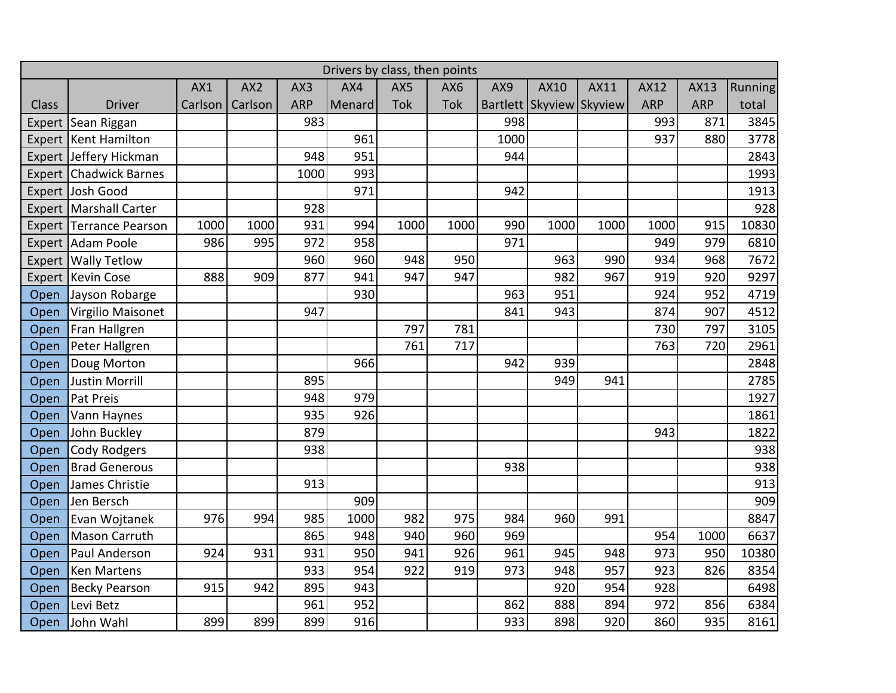| Drivers by class, then points |                         |         |                 |            |        |      |      |      |                          |      |             |            |                |
|-------------------------------|-------------------------|---------|-----------------|------------|--------|------|------|------|--------------------------|------|-------------|------------|----------------|
|                               |                         | AX1     | AX <sub>2</sub> | AX3        | AX4    | AX5  | AX6  | AX9  | AX10                     | AX11 | <b>AX12</b> | AX13       | <b>Running</b> |
| Class                         | <b>Driver</b>           | Carlson | Carlson         | <b>ARP</b> | Menard | Tok  | Tok  |      | Bartlett Skyview Skyview |      | <b>ARP</b>  | <b>ARP</b> | total          |
| Expert                        | Sean Riggan             |         |                 | 983        |        |      |      | 998  |                          |      | 993         | 871        | 3845           |
| Expert                        | Kent Hamilton           |         |                 |            | 961    |      |      | 1000 |                          |      | 937         | 880        | 3778           |
|                               | Expert Jeffery Hickman  |         |                 | 948        | 951    |      |      | 944  |                          |      |             |            | 2843           |
| Expert                        | <b>Chadwick Barnes</b>  |         |                 | 1000       | 993    |      |      |      |                          |      |             |            | 1993           |
|                               | Expert Josh Good        |         |                 |            | 971    |      |      | 942  |                          |      |             |            | 1913           |
| Expert                        | Marshall Carter         |         |                 | 928        |        |      |      |      |                          |      |             |            | 928            |
|                               | Expert Terrance Pearson | 1000    | 1000            | 931        | 994    | 1000 | 1000 | 990  | 1000                     | 1000 | 1000        | 915        | 10830          |
|                               | Expert Adam Poole       | 986     | 995             | 972        | 958    |      |      | 971  |                          |      | 949         | 979        | 6810           |
| Expert                        | <b>Wally Tetlow</b>     |         |                 | 960        | 960    | 948  | 950  |      | 963                      | 990  | 934         | 968        | 7672           |
| Expert                        | <b>Kevin Cose</b>       | 888     | 909             | 877        | 941    | 947  | 947  |      | 982                      | 967  | 919         | 920        | 9297           |
| Open                          | Jayson Robarge          |         |                 |            | 930    |      |      | 963  | 951                      |      | 924         | 952        | 4719           |
| Open                          | Virgilio Maisonet       |         |                 | 947        |        |      |      | 841  | 943                      |      | 874         | 907        | 4512           |
| Open                          | Fran Hallgren           |         |                 |            |        | 797  | 781  |      |                          |      | 730         | 797        | 3105           |
| Open                          | Peter Hallgren          |         |                 |            |        | 761  | 717  |      |                          |      | 763         | 720        | 2961           |
| Open                          | Doug Morton             |         |                 |            | 966    |      |      | 942  | 939                      |      |             |            | 2848           |
| Open                          | <b>Justin Morrill</b>   |         |                 | 895        |        |      |      |      | 949                      | 941  |             |            | 2785           |
| Open                          | Pat Preis               |         |                 | 948        | 979    |      |      |      |                          |      |             |            | 1927           |
| Open                          | Vann Haynes             |         |                 | 935        | 926    |      |      |      |                          |      |             |            | 1861           |
| Open                          | John Buckley            |         |                 | 879        |        |      |      |      |                          |      | 943         |            | 1822           |
| Open                          | Cody Rodgers            |         |                 | 938        |        |      |      |      |                          |      |             |            | 938            |
| Open                          | <b>Brad Generous</b>    |         |                 |            |        |      |      | 938  |                          |      |             |            | 938            |
| Open                          | James Christie          |         |                 | 913        |        |      |      |      |                          |      |             |            | 913            |
| Open                          | Jen Bersch              |         |                 |            | 909    |      |      |      |                          |      |             |            | 909            |
| Open                          | Evan Wojtanek           | 976     | 994             | 985        | 1000   | 982  | 975  | 984  | 960                      | 991  |             |            | 8847           |
| Open                          | Mason Carruth           |         |                 | 865        | 948    | 940  | 960  | 969  |                          |      | 954         | 1000       | 6637           |
| Open                          | Paul Anderson           | 924     | 931             | 931        | 950    | 941  | 926  | 961  | 945                      | 948  | 973         | 950        | 10380          |
| Open                          | Ken Martens             |         |                 | 933        | 954    | 922  | 919  | 973  | 948                      | 957  | 923         | 826        | 8354           |
| Open                          | <b>Becky Pearson</b>    | 915     | 942             | 895        | 943    |      |      |      | 920                      | 954  | 928         |            | 6498           |
| Open                          | Levi Betz               |         |                 | 961        | 952    |      |      | 862  | 888                      | 894  | 972         | 856        | 6384           |
| Open                          | John Wahl               | 899     | 899             | 899        | 916    |      |      | 933  | 898                      | 920  | 860         | 935        | 8161           |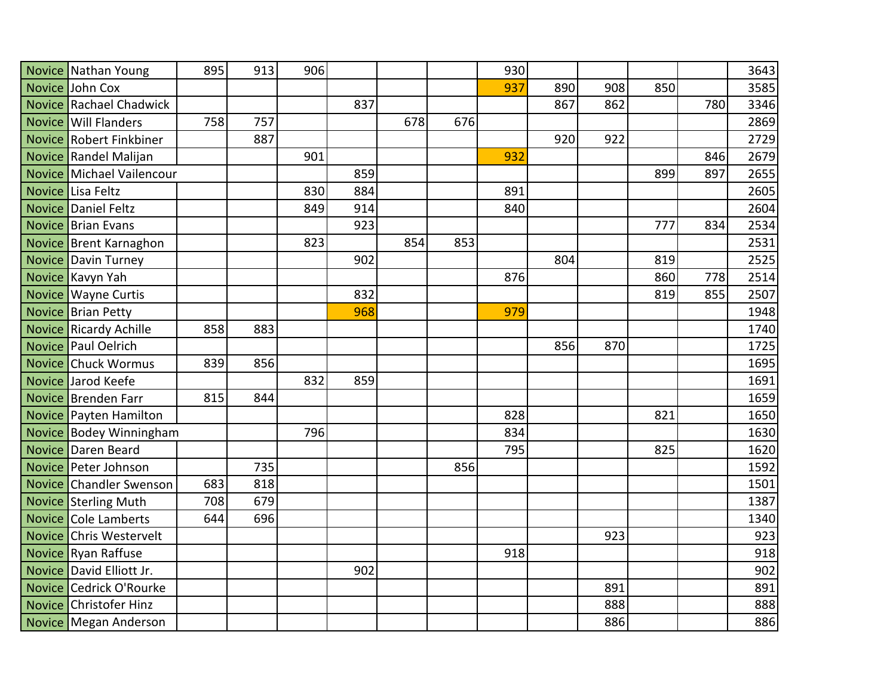|               | Novice Nathan Young        | 895 | 913 | 906 |     |     |     | 930 |     |     |     |     | 3643 |
|---------------|----------------------------|-----|-----|-----|-----|-----|-----|-----|-----|-----|-----|-----|------|
|               | Novice John Cox            |     |     |     |     |     |     | 937 | 890 | 908 | 850 |     | 3585 |
|               | Novice Rachael Chadwick    |     |     |     | 837 |     |     |     | 867 | 862 |     | 780 | 3346 |
|               | Novice   Will Flanders     | 758 | 757 |     |     | 678 | 676 |     |     |     |     |     | 2869 |
|               | Novice Robert Finkbiner    |     | 887 |     |     |     |     |     | 920 | 922 |     |     | 2729 |
|               | Novice Randel Malijan      |     |     | 901 |     |     |     | 932 |     |     |     | 846 | 2679 |
|               | Novice Michael Vailencour  |     |     |     | 859 |     |     |     |     |     | 899 | 897 | 2655 |
| <b>Novice</b> | Lisa Feltz                 |     |     | 830 | 884 |     |     | 891 |     |     |     |     | 2605 |
|               | Novice Daniel Feltz        |     |     | 849 | 914 |     |     | 840 |     |     |     |     | 2604 |
|               | Novice Brian Evans         |     |     |     | 923 |     |     |     |     |     | 777 | 834 | 2534 |
|               | Novice Brent Karnaghon     |     |     | 823 |     | 854 | 853 |     |     |     |     |     | 2531 |
|               | <b>Novice Davin Turney</b> |     |     |     | 902 |     |     |     | 804 |     | 819 |     | 2525 |
|               | Novice Kavyn Yah           |     |     |     |     |     |     | 876 |     |     | 860 | 778 | 2514 |
|               | Novice Wayne Curtis        |     |     |     | 832 |     |     |     |     |     | 819 | 855 | 2507 |
|               | Novice Brian Petty         |     |     |     | 968 |     |     | 979 |     |     |     |     | 1948 |
|               | Novice Ricardy Achille     | 858 | 883 |     |     |     |     |     |     |     |     |     | 1740 |
|               | Novice Paul Oelrich        |     |     |     |     |     |     |     | 856 | 870 |     |     | 1725 |
|               | <b>Novice Chuck Wormus</b> | 839 | 856 |     |     |     |     |     |     |     |     |     | 1695 |
|               | Novice Jarod Keefe         |     |     | 832 | 859 |     |     |     |     |     |     |     | 1691 |
|               | Novice Brenden Farr        | 815 | 844 |     |     |     |     |     |     |     |     |     | 1659 |
|               | Novice Payten Hamilton     |     |     |     |     |     |     | 828 |     |     | 821 |     | 1650 |
|               | Novice Bodey Winningham    |     |     | 796 |     |     |     | 834 |     |     |     |     | 1630 |
| <b>Novice</b> | Daren Beard                |     |     |     |     |     |     | 795 |     |     | 825 |     | 1620 |
|               | Novice Peter Johnson       |     | 735 |     |     |     | 856 |     |     |     |     |     | 1592 |
|               | Novice Chandler Swenson    | 683 | 818 |     |     |     |     |     |     |     |     |     | 1501 |
|               | Novice Sterling Muth       | 708 | 679 |     |     |     |     |     |     |     |     |     | 1387 |
| <b>Novice</b> | Cole Lamberts              | 644 | 696 |     |     |     |     |     |     |     |     |     | 1340 |
| <b>Novice</b> | <b>Chris Westervelt</b>    |     |     |     |     |     |     |     |     | 923 |     |     | 923  |
|               | Novice Ryan Raffuse        |     |     |     |     |     |     | 918 |     |     |     |     | 918  |
|               | Novice David Elliott Jr.   |     |     |     | 902 |     |     |     |     |     |     |     | 902  |
| <b>Novice</b> | Cedrick O'Rourke           |     |     |     |     |     |     |     |     | 891 |     |     | 891  |
|               | Novice Christofer Hinz     |     |     |     |     |     |     |     |     | 888 |     |     | 888  |
|               | Novice Megan Anderson      |     |     |     |     |     |     |     |     | 886 |     |     | 886  |